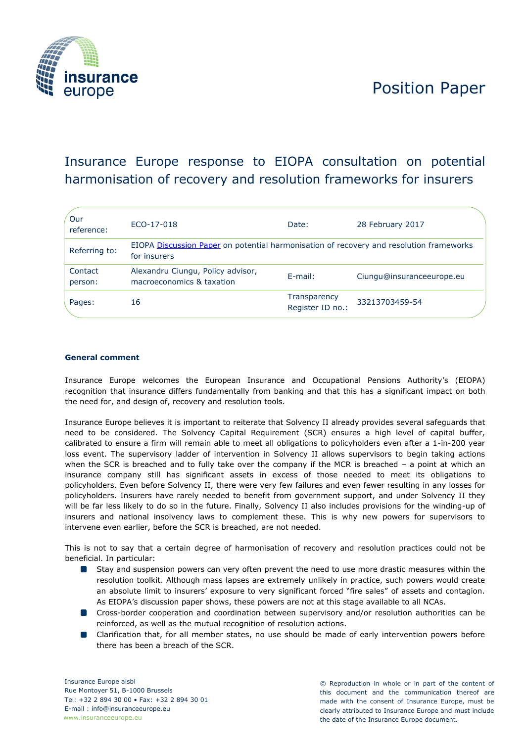



# Insurance Europe response to EIOPA consultation on potential harmonisation of recovery and resolution frameworks for insurers

| Our<br>reference:  | ECO-17-018                                                                                              | Date:                                   | 28 February 2017          |
|--------------------|---------------------------------------------------------------------------------------------------------|-----------------------------------------|---------------------------|
| Referring to:      | EIOPA Discussion Paper on potential harmonisation of recovery and resolution frameworks<br>for insurers |                                         |                           |
| Contact<br>person: | Alexandru Ciungu, Policy advisor,<br>macroeconomics & taxation                                          | E-mail:                                 | Ciungu@insuranceeurope.eu |
| Pages:             | 16                                                                                                      | <b>Transparency</b><br>Register ID no.: | 33213703459-54            |

## **General comment**

Insurance Europe welcomes the European Insurance and Occupational Pensions Authority's (EIOPA) recognition that insurance differs fundamentally from banking and that this has a significant impact on both the need for, and design of, recovery and resolution tools.

Insurance Europe believes it is important to reiterate that Solvency II already provides several safeguards that need to be considered. The Solvency Capital Requirement (SCR) ensures a high level of capital buffer, calibrated to ensure a firm will remain able to meet all obligations to policyholders even after a 1-in-200 year loss event. The supervisory ladder of intervention in Solvency II allows supervisors to begin taking actions when the SCR is breached and to fully take over the company if the MCR is breached – a point at which an insurance company still has significant assets in excess of those needed to meet its obligations to policyholders. Even before Solvency II, there were very few failures and even fewer resulting in any losses for policyholders. Insurers have rarely needed to benefit from government support, and under Solvency II they will be far less likely to do so in the future. Finally, Solvency II also includes provisions for the winding-up of insurers and national insolvency laws to complement these. This is why new powers for supervisors to intervene even earlier, before the SCR is breached, are not needed.

This is not to say that a certain degree of harmonisation of recovery and resolution practices could not be beneficial. In particular:

- Stay and suspension powers can very often prevent the need to use more drastic measures within the resolution toolkit. Although mass lapses are extremely unlikely in practice, such powers would create an absolute limit to insurers' exposure to very significant forced "fire sales" of assets and contagion. As EIOPA's discussion paper shows, these powers are not at this stage available to all NCAs.
- **C** Cross-border cooperation and coordination between supervisory and/or resolution authorities can be reinforced, as well as the mutual recognition of resolution actions.
- Clarification that, for all member states, no use should be made of early intervention powers before there has been a breach of the SCR.

Insurance Europe aisbl Rue Montoyer 51, B-1000 Brussels Tel: +32 2 894 30 00 • Fax: +32 2 894 30 01 E-mail : info@insuranceeurope.eu www.insuranceeurope.eu

© Reproduction in whole or in part of the content of this document and the communication thereof are made with the consent of Insurance Europe, must be clearly attributed to Insurance Europe and must include the date of the Insurance Europe document.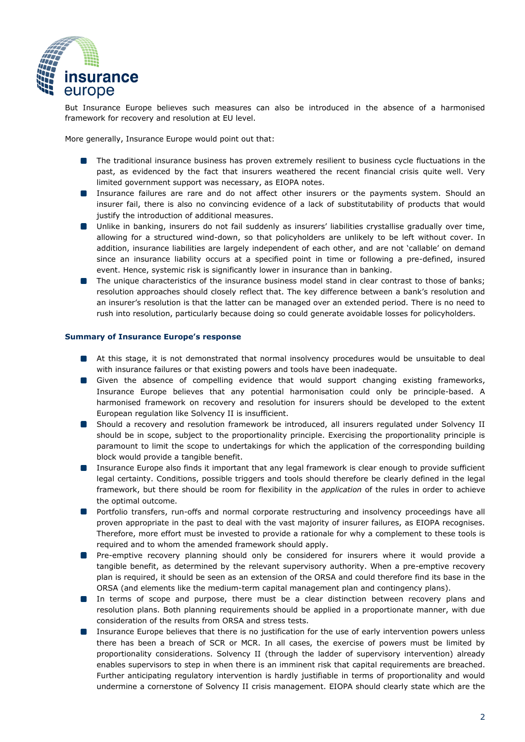

But Insurance Europe believes such measures can also be introduced in the absence of a harmonised framework for recovery and resolution at EU level.

More generally, Insurance Europe would point out that:

- **The traditional insurance business has proven extremely resilient to business cycle fluctuations in the** past, as evidenced by the fact that insurers weathered the recent financial crisis quite well. Very limited government support was necessary, as EIOPA notes.
- **Insurance failures are rare and do not affect other insurers or the payments system. Should an** insurer fail, there is also no convincing evidence of a lack of substitutability of products that would justify the introduction of additional measures.
- Unlike in banking, insurers do not fail suddenly as insurers' liabilities crystallise gradually over time, allowing for a structured wind-down, so that policyholders are unlikely to be left without cover. In addition, insurance liabilities are largely independent of each other, and are not 'callable' on demand since an insurance liability occurs at a specified point in time or following a pre-defined, insured event. Hence, systemic risk is significantly lower in insurance than in banking.
- **The unique characteristics of the insurance business model stand in clear contrast to those of banks;** resolution approaches should closely reflect that. The key difference between a bank's resolution and an insurer's resolution is that the latter can be managed over an extended period. There is no need to rush into resolution, particularly because doing so could generate avoidable losses for policyholders.

## **Summary of Insurance Europe's response**

- At this stage, it is not demonstrated that normal insolvency procedures would be unsuitable to deal with insurance failures or that existing powers and tools have been inadequate.
- Given the absence of compelling evidence that would support changing existing frameworks, Insurance Europe believes that any potential harmonisation could only be principle-based. A harmonised framework on recovery and resolution for insurers should be developed to the extent European regulation like Solvency II is insufficient.
- Should a recovery and resolution framework be introduced, all insurers regulated under Solvency II should be in scope, subject to the proportionality principle. Exercising the proportionality principle is paramount to limit the scope to undertakings for which the application of the corresponding building block would provide a tangible benefit.
- $\blacksquare$ Insurance Europe also finds it important that any legal framework is clear enough to provide sufficient legal certainty. Conditions, possible triggers and tools should therefore be clearly defined in the legal framework, but there should be room for flexibility in the *application* of the rules in order to achieve the optimal outcome.
- Portfolio transfers, run-offs and normal corporate restructuring and insolvency proceedings have all proven appropriate in the past to deal with the vast majority of insurer failures, as EIOPA recognises. Therefore, more effort must be invested to provide a rationale for why a complement to these tools is required and to whom the amended framework should apply.
- **P** Pre-emptive recovery planning should only be considered for insurers where it would provide a tangible benefit, as determined by the relevant supervisory authority. When a pre-emptive recovery plan is required, it should be seen as an extension of the ORSA and could therefore find its base in the ORSA (and elements like the medium-term capital management plan and contingency plans).
- **In terms of scope and purpose, there must be a clear distinction between recovery plans and** resolution plans. Both planning requirements should be applied in a proportionate manner, with due consideration of the results from ORSA and stress tests.
- **IDED** Insurance Europe believes that there is no justification for the use of early intervention powers unless there has been a breach of SCR or MCR. In all cases, the exercise of powers must be limited by proportionality considerations. Solvency II (through the ladder of supervisory intervention) already enables supervisors to step in when there is an imminent risk that capital requirements are breached. Further anticipating regulatory intervention is hardly justifiable in terms of proportionality and would undermine a cornerstone of Solvency II crisis management. EIOPA should clearly state which are the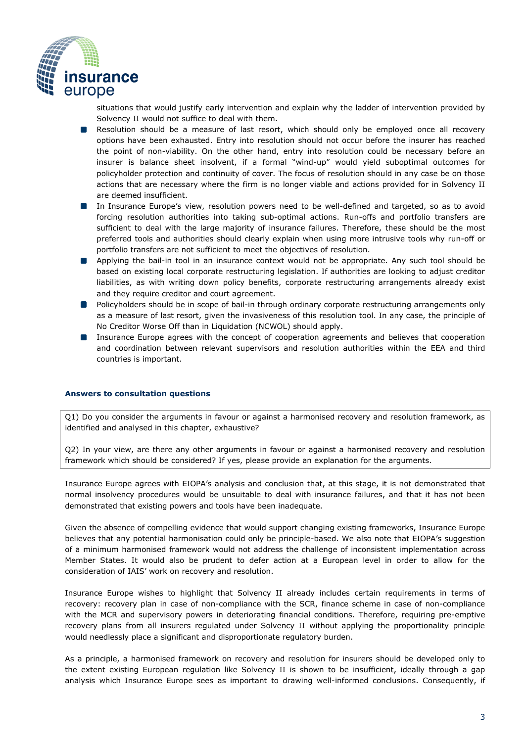

situations that would justify early intervention and explain why the ladder of intervention provided by Solvency II would not suffice to deal with them.

- **Resolution should be a measure of last resort, which should only be employed once all recovery** options have been exhausted. Entry into resolution should not occur before the insurer has reached the point of non-viability. On the other hand, entry into resolution could be necessary before an insurer is balance sheet insolvent, if a formal "wind-up" would yield suboptimal outcomes for policyholder protection and continuity of cover. The focus of resolution should in any case be on those actions that are necessary where the firm is no longer viable and actions provided for in Solvency II are deemed insufficient.
- **In Insurance Europe's view, resolution powers need to be well-defined and targeted, so as to avoid** forcing resolution authorities into taking sub-optimal actions. Run-offs and portfolio transfers are sufficient to deal with the large majority of insurance failures. Therefore, these should be the most preferred tools and authorities should clearly explain when using more intrusive tools why run-off or portfolio transfers are not sufficient to meet the objectives of resolution.
- **Applying the bail-in tool in an insurance context would not be appropriate. Any such tool should be** based on existing local corporate restructuring legislation. If authorities are looking to adjust creditor liabilities, as with writing down policy benefits, corporate restructuring arrangements already exist and they require creditor and court agreement.
- Policyholders should be in scope of bail-in through ordinary corporate restructuring arrangements only as a measure of last resort, given the invasiveness of this resolution tool. In any case, the principle of No Creditor Worse Off than in Liquidation (NCWOL) should apply.
- **IDED** Insurance Europe agrees with the concept of cooperation agreements and believes that cooperation and coordination between relevant supervisors and resolution authorities within the EEA and third countries is important.

## **Answers to consultation questions**

Q1) Do you consider the arguments in favour or against a harmonised recovery and resolution framework, as identified and analysed in this chapter, exhaustive?

Q2) In your view, are there any other arguments in favour or against a harmonised recovery and resolution framework which should be considered? If yes, please provide an explanation for the arguments.

Insurance Europe agrees with EIOPA's analysis and conclusion that, at this stage, it is not demonstrated that normal insolvency procedures would be unsuitable to deal with insurance failures, and that it has not been demonstrated that existing powers and tools have been inadequate.

Given the absence of compelling evidence that would support changing existing frameworks, Insurance Europe believes that any potential harmonisation could only be principle-based. We also note that EIOPA's suggestion of a minimum harmonised framework would not address the challenge of inconsistent implementation across Member States. It would also be prudent to defer action at a European level in order to allow for the consideration of IAIS' work on recovery and resolution.

Insurance Europe wishes to highlight that Solvency II already includes certain requirements in terms of recovery: recovery plan in case of non-compliance with the SCR, finance scheme in case of non-compliance with the MCR and supervisory powers in deteriorating financial conditions. Therefore, requiring pre-emptive recovery plans from all insurers regulated under Solvency II without applying the proportionality principle would needlessly place a significant and disproportionate regulatory burden.

As a principle, a harmonised framework on recovery and resolution for insurers should be developed only to the extent existing European regulation like Solvency II is shown to be insufficient, ideally through a gap analysis which Insurance Europe sees as important to drawing well-informed conclusions. Consequently, if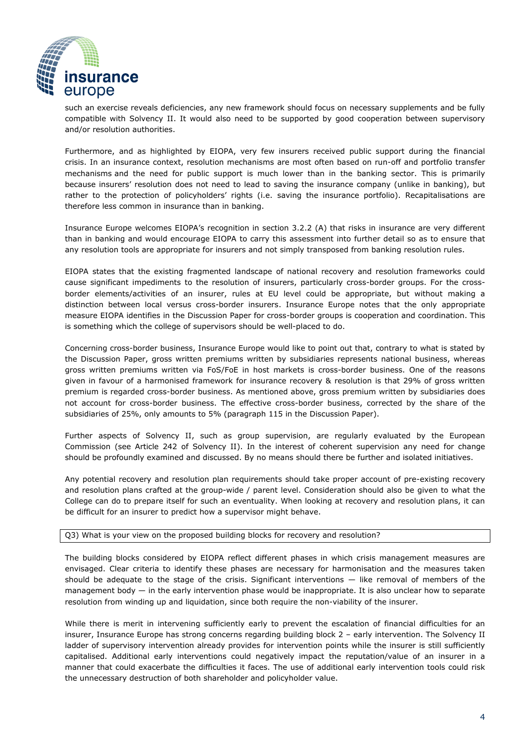

such an exercise reveals deficiencies, any new framework should focus on necessary supplements and be fully compatible with Solvency II. It would also need to be supported by good cooperation between supervisory and/or resolution authorities.

Furthermore, and as highlighted by EIOPA, very few insurers received public support during the financial crisis. In an insurance context, resolution mechanisms are most often based on run-off and portfolio transfer mechanisms and the need for public support is much lower than in the banking sector. This is primarily because insurers' resolution does not need to lead to saving the insurance company (unlike in banking), but rather to the protection of policyholders' rights (i.e. saving the insurance portfolio). Recapitalisations are therefore less common in insurance than in banking.

Insurance Europe welcomes EIOPA's recognition in section 3.2.2 (A) that risks in insurance are very different than in banking and would encourage EIOPA to carry this assessment into further detail so as to ensure that any resolution tools are appropriate for insurers and not simply transposed from banking resolution rules.

EIOPA states that the existing fragmented landscape of national recovery and resolution frameworks could cause significant impediments to the resolution of insurers, particularly cross-border groups. For the crossborder elements/activities of an insurer, rules at EU level could be appropriate, but without making a distinction between local versus cross-border insurers. Insurance Europe notes that the only appropriate measure EIOPA identifies in the Discussion Paper for cross-border groups is cooperation and coordination. This is something which the college of supervisors should be well-placed to do.

Concerning cross-border business, Insurance Europe would like to point out that, contrary to what is stated by the Discussion Paper, gross written premiums written by subsidiaries represents national business, whereas gross written premiums written via FoS/FoE in host markets is cross-border business. One of the reasons given in favour of a harmonised framework for insurance recovery & resolution is that 29% of gross written premium is regarded cross-border business. As mentioned above, gross premium written by subsidiaries does not account for cross-border business. The effective cross-border business, corrected by the share of the subsidiaries of 25%, only amounts to 5% (paragraph 115 in the Discussion Paper).

Further aspects of Solvency II, such as group supervision, are regularly evaluated by the European Commission (see Article 242 of Solvency II). In the interest of coherent supervision any need for change should be profoundly examined and discussed. By no means should there be further and isolated initiatives.

Any potential recovery and resolution plan requirements should take proper account of pre-existing recovery and resolution plans crafted at the group-wide / parent level. Consideration should also be given to what the College can do to prepare itself for such an eventuality. When looking at recovery and resolution plans, it can be difficult for an insurer to predict how a supervisor might behave.

# Q3) What is your view on the proposed building blocks for recovery and resolution?

The building blocks considered by EIOPA reflect different phases in which crisis management measures are envisaged. Clear criteria to identify these phases are necessary for harmonisation and the measures taken should be adequate to the stage of the crisis. Significant interventions — like removal of members of the management body  $-$  in the early intervention phase would be inappropriate. It is also unclear how to separate resolution from winding up and liquidation, since both require the non-viability of the insurer.

While there is merit in intervening sufficiently early to prevent the escalation of financial difficulties for an insurer, Insurance Europe has strong concerns regarding building block 2 – early intervention. The Solvency II ladder of supervisory intervention already provides for intervention points while the insurer is still sufficiently capitalised. Additional early interventions could negatively impact the reputation/value of an insurer in a manner that could exacerbate the difficulties it faces. The use of additional early intervention tools could risk the unnecessary destruction of both shareholder and policyholder value.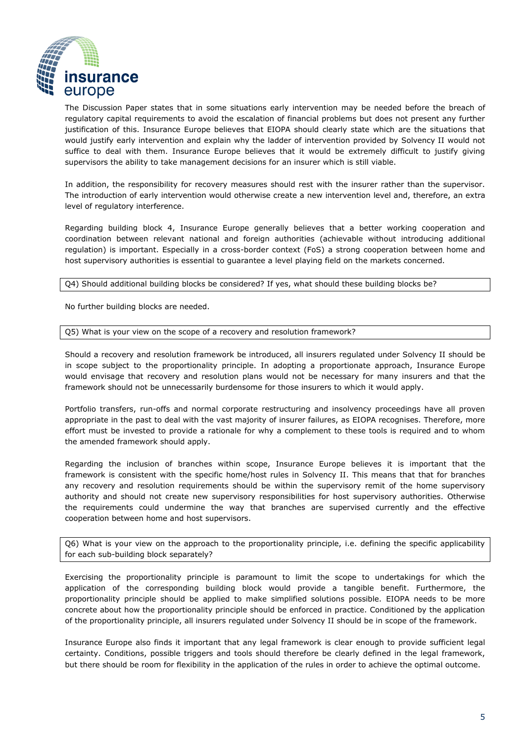

The Discussion Paper states that in some situations early intervention may be needed before the breach of regulatory capital requirements to avoid the escalation of financial problems but does not present any further justification of this. Insurance Europe believes that EIOPA should clearly state which are the situations that would justify early intervention and explain why the ladder of intervention provided by Solvency II would not suffice to deal with them. Insurance Europe believes that it would be extremely difficult to justify giving supervisors the ability to take management decisions for an insurer which is still viable.

In addition, the responsibility for recovery measures should rest with the insurer rather than the supervisor. The introduction of early intervention would otherwise create a new intervention level and, therefore, an extra level of regulatory interference.

Regarding building block 4, Insurance Europe generally believes that a better working cooperation and coordination between relevant national and foreign authorities (achievable without introducing additional regulation) is important. Especially in a cross-border context (FoS) a strong cooperation between home and host supervisory authorities is essential to guarantee a level playing field on the markets concerned.

Q4) Should additional building blocks be considered? If yes, what should these building blocks be?

No further building blocks are needed.

Q5) What is your view on the scope of a recovery and resolution framework?

Should a recovery and resolution framework be introduced, all insurers regulated under Solvency II should be in scope subject to the proportionality principle. In adopting a proportionate approach, Insurance Europe would envisage that recovery and resolution plans would not be necessary for many insurers and that the framework should not be unnecessarily burdensome for those insurers to which it would apply.

Portfolio transfers, run-offs and normal corporate restructuring and insolvency proceedings have all proven appropriate in the past to deal with the vast majority of insurer failures, as EIOPA recognises. Therefore, more effort must be invested to provide a rationale for why a complement to these tools is required and to whom the amended framework should apply.

Regarding the inclusion of branches within scope, Insurance Europe believes it is important that the framework is consistent with the specific home/host rules in Solvency II. This means that that for branches any recovery and resolution requirements should be within the supervisory remit of the home supervisory authority and should not create new supervisory responsibilities for host supervisory authorities. Otherwise the requirements could undermine the way that branches are supervised currently and the effective cooperation between home and host supervisors.

Q6) What is your view on the approach to the proportionality principle, i.e. defining the specific applicability for each sub-building block separately?

Exercising the proportionality principle is paramount to limit the scope to undertakings for which the application of the corresponding building block would provide a tangible benefit. Furthermore, the proportionality principle should be applied to make simplified solutions possible. EIOPA needs to be more concrete about how the proportionality principle should be enforced in practice. Conditioned by the application of the proportionality principle, all insurers regulated under Solvency II should be in scope of the framework.

Insurance Europe also finds it important that any legal framework is clear enough to provide sufficient legal certainty. Conditions, possible triggers and tools should therefore be clearly defined in the legal framework, but there should be room for flexibility in the application of the rules in order to achieve the optimal outcome.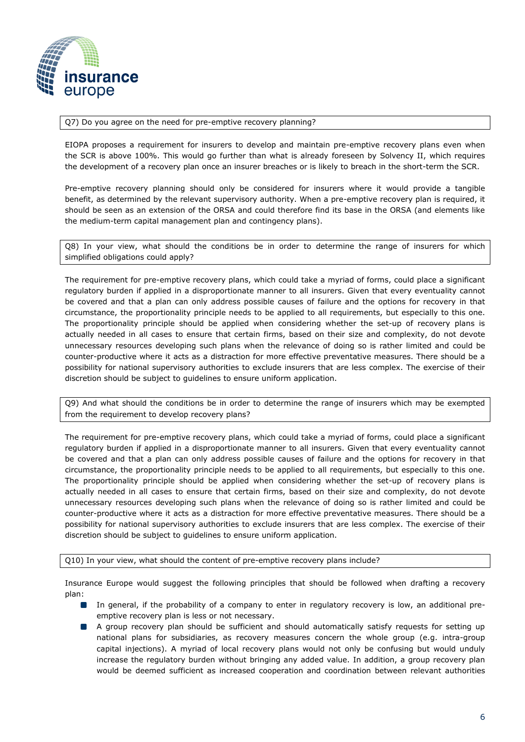

#### Q7) Do you agree on the need for pre-emptive recovery planning?

EIOPA proposes a requirement for insurers to develop and maintain pre-emptive recovery plans even when the SCR is above 100%. This would go further than what is already foreseen by Solvency II, which requires the development of a recovery plan once an insurer breaches or is likely to breach in the short-term the SCR.

Pre-emptive recovery planning should only be considered for insurers where it would provide a tangible benefit, as determined by the relevant supervisory authority. When a pre-emptive recovery plan is required, it should be seen as an extension of the ORSA and could therefore find its base in the ORSA (and elements like the medium-term capital management plan and contingency plans).

Q8) In your view, what should the conditions be in order to determine the range of insurers for which simplified obligations could apply?

The requirement for pre-emptive recovery plans, which could take a myriad of forms, could place a significant regulatory burden if applied in a disproportionate manner to all insurers. Given that every eventuality cannot be covered and that a plan can only address possible causes of failure and the options for recovery in that circumstance, the proportionality principle needs to be applied to all requirements, but especially to this one. The proportionality principle should be applied when considering whether the set-up of recovery plans is actually needed in all cases to ensure that certain firms, based on their size and complexity, do not devote unnecessary resources developing such plans when the relevance of doing so is rather limited and could be counter-productive where it acts as a distraction for more effective preventative measures. There should be a possibility for national supervisory authorities to exclude insurers that are less complex. The exercise of their discretion should be subject to guidelines to ensure uniform application.

Q9) And what should the conditions be in order to determine the range of insurers which may be exempted from the requirement to develop recovery plans?

The requirement for pre-emptive recovery plans, which could take a myriad of forms, could place a significant regulatory burden if applied in a disproportionate manner to all insurers. Given that every eventuality cannot be covered and that a plan can only address possible causes of failure and the options for recovery in that circumstance, the proportionality principle needs to be applied to all requirements, but especially to this one. The proportionality principle should be applied when considering whether the set-up of recovery plans is actually needed in all cases to ensure that certain firms, based on their size and complexity, do not devote unnecessary resources developing such plans when the relevance of doing so is rather limited and could be counter-productive where it acts as a distraction for more effective preventative measures. There should be a possibility for national supervisory authorities to exclude insurers that are less complex. The exercise of their discretion should be subject to guidelines to ensure uniform application.

Q10) In your view, what should the content of pre-emptive recovery plans include?

Insurance Europe would suggest the following principles that should be followed when drafting a recovery plan:

- In general, if the probability of a company to enter in regulatory recovery is low, an additional preemptive recovery plan is less or not necessary.
- $\Box$ A group recovery plan should be sufficient and should automatically satisfy requests for setting up national plans for subsidiaries, as recovery measures concern the whole group (e.g. intra-group capital injections). A myriad of local recovery plans would not only be confusing but would unduly increase the regulatory burden without bringing any added value. In addition, a group recovery plan would be deemed sufficient as increased cooperation and coordination between relevant authorities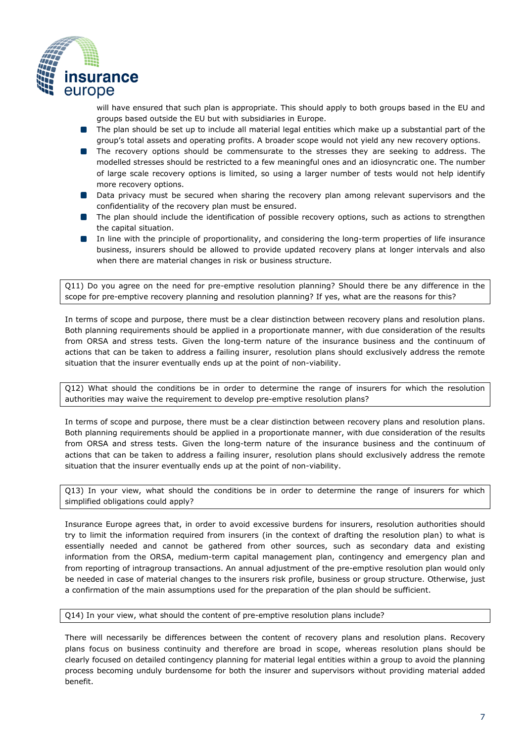

will have ensured that such plan is appropriate. This should apply to both groups based in the EU and groups based outside the EU but with subsidiaries in Europe.

- **The plan should be set up to include all material legal entities which make up a substantial part of the** group's total assets and operating profits. A broader scope would not yield any new recovery options.
- **The recovery options should be commensurate to the stresses they are seeking to address. The** modelled stresses should be restricted to a few meaningful ones and an idiosyncratic one. The number of large scale recovery options is limited, so using a larger number of tests would not help identify more recovery options.
- Data privacy must be secured when sharing the recovery plan among relevant supervisors and the confidentiality of the recovery plan must be ensured.
- **The plan should include the identification of possible recovery options, such as actions to strengthen** the capital situation.
- In line with the principle of proportionality, and considering the long-term properties of life insurance business, insurers should be allowed to provide updated recovery plans at longer intervals and also when there are material changes in risk or business structure.

Q11) Do you agree on the need for pre-emptive resolution planning? Should there be any difference in the scope for pre-emptive recovery planning and resolution planning? If yes, what are the reasons for this?

In terms of scope and purpose, there must be a clear distinction between recovery plans and resolution plans. Both planning requirements should be applied in a proportionate manner, with due consideration of the results from ORSA and stress tests. Given the long-term nature of the insurance business and the continuum of actions that can be taken to address a failing insurer, resolution plans should exclusively address the remote situation that the insurer eventually ends up at the point of non-viability.

Q12) What should the conditions be in order to determine the range of insurers for which the resolution authorities may waive the requirement to develop pre-emptive resolution plans?

In terms of scope and purpose, there must be a clear distinction between recovery plans and resolution plans. Both planning requirements should be applied in a proportionate manner, with due consideration of the results from ORSA and stress tests. Given the long-term nature of the insurance business and the continuum of actions that can be taken to address a failing insurer, resolution plans should exclusively address the remote situation that the insurer eventually ends up at the point of non-viability.

Q13) In your view, what should the conditions be in order to determine the range of insurers for which simplified obligations could apply?

Insurance Europe agrees that, in order to avoid excessive burdens for insurers, resolution authorities should try to limit the information required from insurers (in the context of drafting the resolution plan) to what is essentially needed and cannot be gathered from other sources, such as secondary data and existing information from the ORSA, medium-term capital management plan, contingency and emergency plan and from reporting of intragroup transactions. An annual adjustment of the pre-emptive resolution plan would only be needed in case of material changes to the insurers risk profile, business or group structure. Otherwise, just a confirmation of the main assumptions used for the preparation of the plan should be sufficient.

## Q14) In your view, what should the content of pre-emptive resolution plans include?

There will necessarily be differences between the content of recovery plans and resolution plans. Recovery plans focus on business continuity and therefore are broad in scope, whereas resolution plans should be clearly focused on detailed contingency planning for material legal entities within a group to avoid the planning process becoming unduly burdensome for both the insurer and supervisors without providing material added benefit.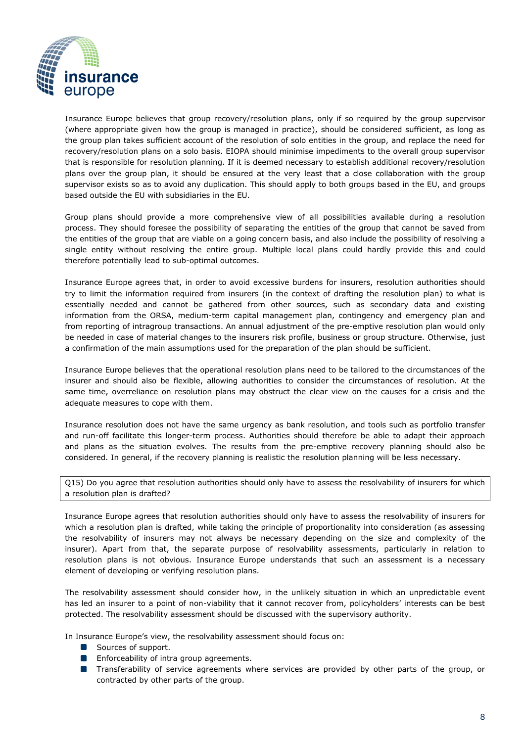

Insurance Europe believes that group recovery/resolution plans, only if so required by the group supervisor (where appropriate given how the group is managed in practice), should be considered sufficient, as long as the group plan takes sufficient account of the resolution of solo entities in the group, and replace the need for recovery/resolution plans on a solo basis. EIOPA should minimise impediments to the overall group supervisor that is responsible for resolution planning. If it is deemed necessary to establish additional recovery/resolution plans over the group plan, it should be ensured at the very least that a close collaboration with the group supervisor exists so as to avoid any duplication. This should apply to both groups based in the EU, and groups based outside the EU with subsidiaries in the EU.

Group plans should provide a more comprehensive view of all possibilities available during a resolution process. They should foresee the possibility of separating the entities of the group that cannot be saved from the entities of the group that are viable on a going concern basis, and also include the possibility of resolving a single entity without resolving the entire group. Multiple local plans could hardly provide this and could therefore potentially lead to sub-optimal outcomes.

Insurance Europe agrees that, in order to avoid excessive burdens for insurers, resolution authorities should try to limit the information required from insurers (in the context of drafting the resolution plan) to what is essentially needed and cannot be gathered from other sources, such as secondary data and existing information from the ORSA, medium-term capital management plan, contingency and emergency plan and from reporting of intragroup transactions. An annual adjustment of the pre-emptive resolution plan would only be needed in case of material changes to the insurers risk profile, business or group structure. Otherwise, just a confirmation of the main assumptions used for the preparation of the plan should be sufficient.

Insurance Europe believes that the operational resolution plans need to be tailored to the circumstances of the insurer and should also be flexible, allowing authorities to consider the circumstances of resolution. At the same time, overreliance on resolution plans may obstruct the clear view on the causes for a crisis and the adequate measures to cope with them.

Insurance resolution does not have the same urgency as bank resolution, and tools such as portfolio transfer and run-off facilitate this longer-term process. Authorities should therefore be able to adapt their approach and plans as the situation evolves. The results from the pre-emptive recovery planning should also be considered. In general, if the recovery planning is realistic the resolution planning will be less necessary.

Q15) Do you agree that resolution authorities should only have to assess the resolvability of insurers for which a resolution plan is drafted?

Insurance Europe agrees that resolution authorities should only have to assess the resolvability of insurers for which a resolution plan is drafted, while taking the principle of proportionality into consideration (as assessing the resolvability of insurers may not always be necessary depending on the size and complexity of the insurer). Apart from that, the separate purpose of resolvability assessments, particularly in relation to resolution plans is not obvious. Insurance Europe understands that such an assessment is a necessary element of developing or verifying resolution plans.

The resolvability assessment should consider how, in the unlikely situation in which an unpredictable event has led an insurer to a point of non-viability that it cannot recover from, policyholders' interests can be best protected. The resolvability assessment should be discussed with the supervisory authority.

In Insurance Europe's view, the resolvability assessment should focus on:

- Sources of support.
- **Enforceability of intra group agreements.**
- **Transferability of service agreements where services are provided by other parts of the group, or** contracted by other parts of the group.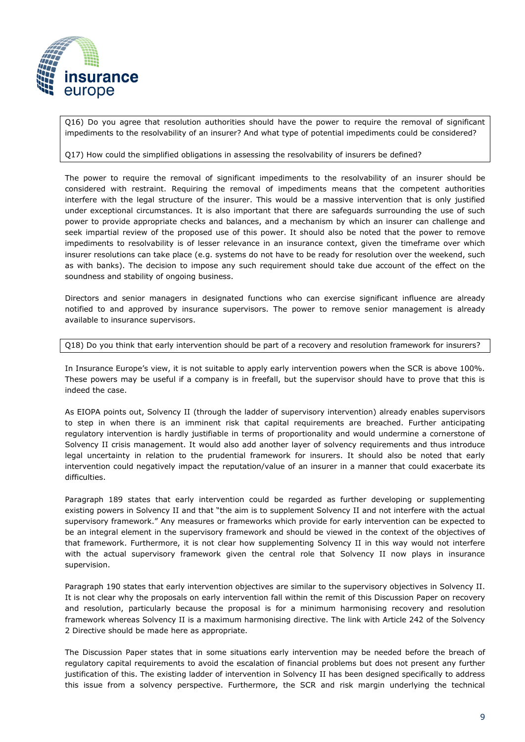

Q16) Do you agree that resolution authorities should have the power to require the removal of significant impediments to the resolvability of an insurer? And what type of potential impediments could be considered?

## Q17) How could the simplified obligations in assessing the resolvability of insurers be defined?

The power to require the removal of significant impediments to the resolvability of an insurer should be considered with restraint. Requiring the removal of impediments means that the competent authorities interfere with the legal structure of the insurer. This would be a massive intervention that is only justified under exceptional circumstances. It is also important that there are safeguards surrounding the use of such power to provide appropriate checks and balances, and a mechanism by which an insurer can challenge and seek impartial review of the proposed use of this power. It should also be noted that the power to remove impediments to resolvability is of lesser relevance in an insurance context, given the timeframe over which insurer resolutions can take place (e.g. systems do not have to be ready for resolution over the weekend, such as with banks). The decision to impose any such requirement should take due account of the effect on the soundness and stability of ongoing business.

Directors and senior managers in designated functions who can exercise significant influence are already notified to and approved by insurance supervisors. The power to remove senior management is already available to insurance supervisors.

## Q18) Do you think that early intervention should be part of a recovery and resolution framework for insurers?

In Insurance Europe's view, it is not suitable to apply early intervention powers when the SCR is above 100%. These powers may be useful if a company is in freefall, but the supervisor should have to prove that this is indeed the case.

As EIOPA points out, Solvency II (through the ladder of supervisory intervention) already enables supervisors to step in when there is an imminent risk that capital requirements are breached. Further anticipating regulatory intervention is hardly justifiable in terms of proportionality and would undermine a cornerstone of Solvency II crisis management. It would also add another layer of solvency requirements and thus introduce legal uncertainty in relation to the prudential framework for insurers. It should also be noted that early intervention could negatively impact the reputation/value of an insurer in a manner that could exacerbate its difficulties.

Paragraph 189 states that early intervention could be regarded as further developing or supplementing existing powers in Solvency II and that "the aim is to supplement Solvency II and not interfere with the actual supervisory framework." Any measures or frameworks which provide for early intervention can be expected to be an integral element in the supervisory framework and should be viewed in the context of the objectives of that framework. Furthermore, it is not clear how supplementing Solvency II in this way would not interfere with the actual supervisory framework given the central role that Solvency II now plays in insurance supervision.

Paragraph 190 states that early intervention objectives are similar to the supervisory objectives in Solvency II. It is not clear why the proposals on early intervention fall within the remit of this Discussion Paper on recovery and resolution, particularly because the proposal is for a minimum harmonising recovery and resolution framework whereas Solvency II is a maximum harmonising directive. The link with Article 242 of the Solvency 2 Directive should be made here as appropriate.

The Discussion Paper states that in some situations early intervention may be needed before the breach of regulatory capital requirements to avoid the escalation of financial problems but does not present any further justification of this. The existing ladder of intervention in Solvency II has been designed specifically to address this issue from a solvency perspective. Furthermore, the SCR and risk margin underlying the technical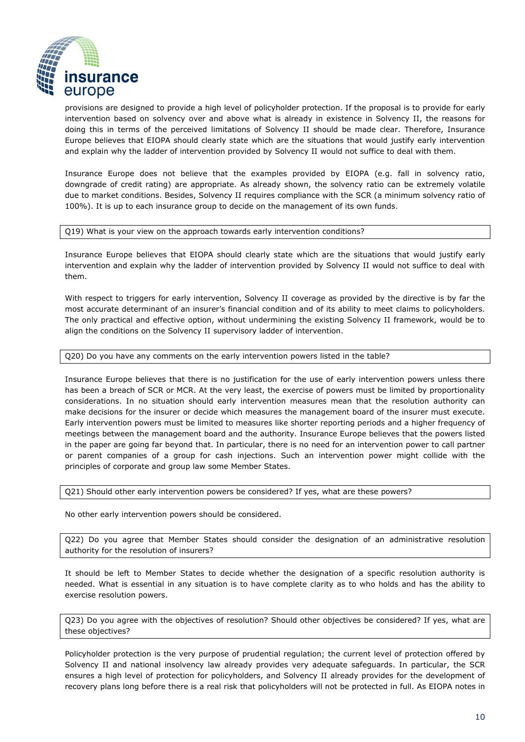

provisions are designed to provide a high level of policyholder protection. If the proposal is to provide for early intervention based on solvency over and above what is already in existence in Solvency II, the reasons for doing this in terms of the perceived limitations of Solvency II should be made clear. Therefore, Insurance Europe believes that EIOPA should clearly state which are the situations that would justify early intervention and explain why the ladder of intervention provided by Solvency II would not suffice to deal with them.

Insurance Europe does not believe that the examples provided by EIOPA (e.g. fall in solvency ratio, downgrade of credit rating) are appropriate. As already shown, the solvency ratio can be extremely volatile due to market conditions. Besides, Solvency II requires compliance with the SCR (a minimum solvency ratio of 100%). It is up to each insurance group to decide on the management of its own funds.

#### Q19) What is your view on the approach towards early intervention conditions?

Insurance Europe believes that EIOPA should clearly state which are the situations that would justify early intervention and explain why the ladder of intervention provided by Solvency II would not suffice to deal with them.

With respect to triggers for early intervention, Solvency II coverage as provided by the directive is by far the most accurate determinant of an insurer's financial condition and of its ability to meet claims to policyholders. The only practical and effective option, without undermining the existing Solvency II framework, would be to align the conditions on the Solvency II supervisory ladder of intervention.

## Q20) Do you have any comments on the early intervention powers listed in the table?

Insurance Europe believes that there is no justification for the use of early intervention powers unless there has been a breach of SCR or MCR. At the very least, the exercise of powers must be limited by proportionality considerations. In no situation should early intervention measures mean that the resolution authority can make decisions for the insurer or decide which measures the management board of the insurer must execute. Early intervention powers must be limited to measures like shorter reporting periods and a higher frequency of meetings between the management board and the authority. Insurance Europe believes that the powers listed in the paper are going far beyond that. In particular, there is no need for an intervention power to call partner or parent companies of a group for cash injections. Such an intervention power might collide with the principles of corporate and group law some Member States.

Q21) Should other early intervention powers be considered? If yes, what are these powers?

No other early intervention powers should be considered.

Q22) Do you agree that Member States should consider the designation of an administrative resolution authority for the resolution of insurers?

It should be left to Member States to decide whether the designation of a specific resolution authority is needed. What is essential in any situation is to have complete clarity as to who holds and has the ability to exercise resolution powers.

Q23) Do you agree with the objectives of resolution? Should other objectives be considered? If yes, what are these objectives?

Policyholder protection is the very purpose of prudential regulation; the current level of protection offered by Solvency II and national insolvency law already provides very adequate safeguards. In particular, the SCR ensures a high level of protection for policyholders, and Solvency II already provides for the development of recovery plans long before there is a real risk that policyholders will not be protected in full. As EIOPA notes in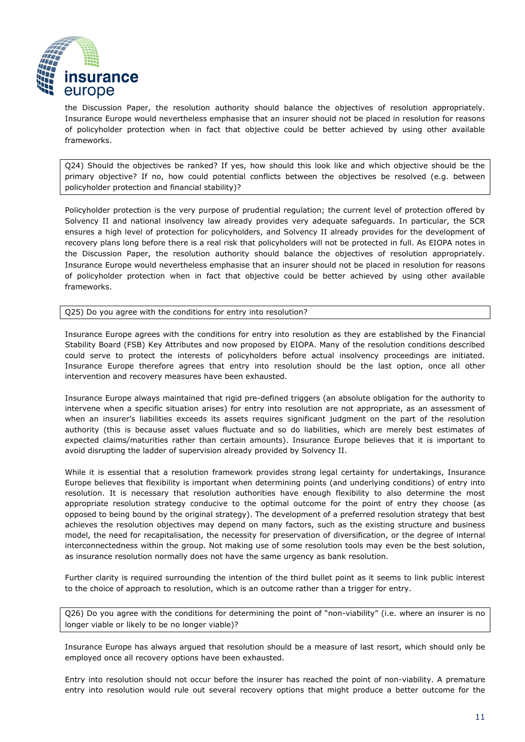

the Discussion Paper, the resolution authority should balance the objectives of resolution appropriately. Insurance Europe would nevertheless emphasise that an insurer should not be placed in resolution for reasons of policyholder protection when in fact that objective could be better achieved by using other available frameworks.

Q24) Should the objectives be ranked? If yes, how should this look like and which objective should be the primary objective? If no, how could potential conflicts between the objectives be resolved (e.g. between policyholder protection and financial stability)?

Policyholder protection is the very purpose of prudential regulation; the current level of protection offered by Solvency II and national insolvency law already provides very adequate safeguards. In particular, the SCR ensures a high level of protection for policyholders, and Solvency II already provides for the development of recovery plans long before there is a real risk that policyholders will not be protected in full. As EIOPA notes in the Discussion Paper, the resolution authority should balance the objectives of resolution appropriately. Insurance Europe would nevertheless emphasise that an insurer should not be placed in resolution for reasons of policyholder protection when in fact that objective could be better achieved by using other available frameworks.

Q25) Do you agree with the conditions for entry into resolution?

Insurance Europe agrees with the conditions for entry into resolution as they are established by the Financial Stability Board (FSB) Key Attributes and now proposed by EIOPA. Many of the resolution conditions described could serve to protect the interests of policyholders before actual insolvency proceedings are initiated. Insurance Europe therefore agrees that entry into resolution should be the last option, once all other intervention and recovery measures have been exhausted.

Insurance Europe always maintained that rigid pre-defined triggers (an absolute obligation for the authority to intervene when a specific situation arises) for entry into resolution are not appropriate, as an assessment of when an insurer's liabilities exceeds its assets requires significant judgment on the part of the resolution authority (this is because asset values fluctuate and so do liabilities, which are merely best estimates of expected claims/maturities rather than certain amounts). Insurance Europe believes that it is important to avoid disrupting the ladder of supervision already provided by Solvency II.

While it is essential that a resolution framework provides strong legal certainty for undertakings, Insurance Europe believes that flexibility is important when determining points (and underlying conditions) of entry into resolution. It is necessary that resolution authorities have enough flexibility to also determine the most appropriate resolution strategy conducive to the optimal outcome for the point of entry they choose (as opposed to being bound by the original strategy). The development of a preferred resolution strategy that best achieves the resolution objectives may depend on many factors, such as the existing structure and business model, the need for recapitalisation, the necessity for preservation of diversification, or the degree of internal interconnectedness within the group. Not making use of some resolution tools may even be the best solution, as insurance resolution normally does not have the same urgency as bank resolution.

Further clarity is required surrounding the intention of the third bullet point as it seems to link public interest to the choice of approach to resolution, which is an outcome rather than a trigger for entry.

Q26) Do you agree with the conditions for determining the point of "non-viability" (i.e. where an insurer is no longer viable or likely to be no longer viable)?

Insurance Europe has always argued that resolution should be a measure of last resort, which should only be employed once all recovery options have been exhausted.

Entry into resolution should not occur before the insurer has reached the point of non-viability. A premature entry into resolution would rule out several recovery options that might produce a better outcome for the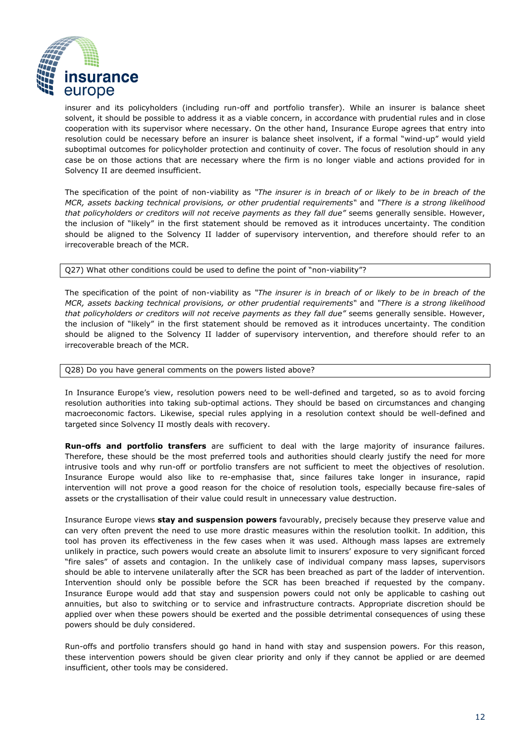

insurer and its policyholders (including run-off and portfolio transfer). While an insurer is balance sheet solvent, it should be possible to address it as a viable concern, in accordance with prudential rules and in close cooperation with its supervisor where necessary. On the other hand, Insurance Europe agrees that entry into resolution could be necessary before an insurer is balance sheet insolvent, if a formal "wind-up" would yield suboptimal outcomes for policyholder protection and continuity of cover. The focus of resolution should in any case be on those actions that are necessary where the firm is no longer viable and actions provided for in Solvency II are deemed insufficient.

The specification of the point of non-viability as *"The insurer is in breach of or likely to be in breach of the MCR, assets backing technical provisions, or other prudential requirements"* and *"There is a strong likelihood that policyholders or creditors will not receive payments as they fall due"* seems generally sensible. However, the inclusion of "likely" in the first statement should be removed as it introduces uncertainty. The condition should be aligned to the Solvency II ladder of supervisory intervention, and therefore should refer to an irrecoverable breach of the MCR.

Q27) What other conditions could be used to define the point of "non-viability"?

The specification of the point of non-viability as *"The insurer is in breach of or likely to be in breach of the MCR, assets backing technical provisions, or other prudential requirements"* and *"There is a strong likelihood that policyholders or creditors will not receive payments as they fall due"* seems generally sensible. However, the inclusion of "likely" in the first statement should be removed as it introduces uncertainty. The condition should be aligned to the Solvency II ladder of supervisory intervention, and therefore should refer to an irrecoverable breach of the MCR.

## Q28) Do you have general comments on the powers listed above?

In Insurance Europe's view, resolution powers need to be well-defined and targeted, so as to avoid forcing resolution authorities into taking sub-optimal actions. They should be based on circumstances and changing macroeconomic factors. Likewise, special rules applying in a resolution context should be well-defined and targeted since Solvency II mostly deals with recovery.

**Run-offs and portfolio transfers** are sufficient to deal with the large majority of insurance failures. Therefore, these should be the most preferred tools and authorities should clearly justify the need for more intrusive tools and why run-off or portfolio transfers are not sufficient to meet the objectives of resolution. Insurance Europe would also like to re-emphasise that, since failures take longer in insurance, rapid intervention will not prove a good reason for the choice of resolution tools, especially because fire-sales of assets or the crystallisation of their value could result in unnecessary value destruction.

Insurance Europe views **stay and suspension powers** favourably, precisely because they preserve value and can very often prevent the need to use more drastic measures within the resolution toolkit. In addition, this tool has proven its effectiveness in the few cases when it was used. Although mass lapses are extremely unlikely in practice, such powers would create an absolute limit to insurers' exposure to very significant forced "fire sales" of assets and contagion. In the unlikely case of individual company mass lapses, supervisors should be able to intervene unilaterally after the SCR has been breached as part of the ladder of intervention. Intervention should only be possible before the SCR has been breached if requested by the company. Insurance Europe would add that stay and suspension powers could not only be applicable to cashing out annuities, but also to switching or to service and infrastructure contracts. Appropriate discretion should be applied over when these powers should be exerted and the possible detrimental consequences of using these powers should be duly considered.

Run-offs and portfolio transfers should go hand in hand with stay and suspension powers. For this reason, these intervention powers should be given clear priority and only if they cannot be applied or are deemed insufficient, other tools may be considered.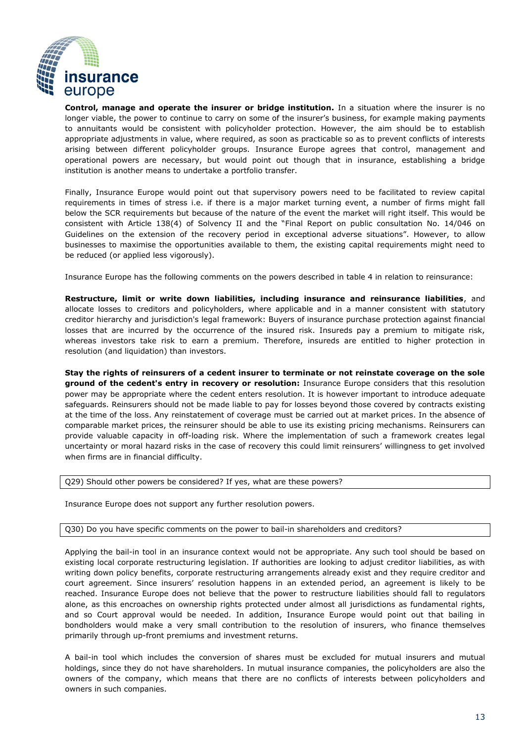

**Control, manage and operate the insurer or bridge institution.** In a situation where the insurer is no longer viable, the power to continue to carry on some of the insurer's business, for example making payments to annuitants would be consistent with policyholder protection. However, the aim should be to establish appropriate adjustments in value, where required, as soon as practicable so as to prevent conflicts of interests arising between different policyholder groups. Insurance Europe agrees that control, management and operational powers are necessary, but would point out though that in insurance, establishing a bridge institution is another means to undertake a portfolio transfer.

Finally, Insurance Europe would point out that supervisory powers need to be facilitated to review capital requirements in times of stress i.e. if there is a major market turning event, a number of firms might fall below the SCR requirements but because of the nature of the event the market will right itself. This would be consistent with Article 138(4) of Solvency II and the "Final Report on public consultation No. 14/046 on Guidelines on the extension of the recovery period in exceptional adverse situations". However, to allow businesses to maximise the opportunities available to them, the existing capital requirements might need to be reduced (or applied less vigorously).

Insurance Europe has the following comments on the powers described in table 4 in relation to reinsurance:

**Restructure, limit or write down liabilities, including insurance and reinsurance liabilities**, and allocate losses to creditors and policyholders, where applicable and in a manner consistent with statutory creditor hierarchy and jurisdiction's legal framework: Buyers of insurance purchase protection against financial losses that are incurred by the occurrence of the insured risk. Insureds pay a premium to mitigate risk, whereas investors take risk to earn a premium. Therefore, insureds are entitled to higher protection in resolution (and liquidation) than investors.

**Stay the rights of reinsurers of a cedent insurer to terminate or not reinstate coverage on the sole ground of the cedent's entry in recovery or resolution:** Insurance Europe considers that this resolution power may be appropriate where the cedent enters resolution. It is however important to introduce adequate safeguards. Reinsurers should not be made liable to pay for losses beyond those covered by contracts existing at the time of the loss. Any reinstatement of coverage must be carried out at market prices. In the absence of comparable market prices, the reinsurer should be able to use its existing pricing mechanisms. Reinsurers can provide valuable capacity in off-loading risk. Where the implementation of such a framework creates legal uncertainty or moral hazard risks in the case of recovery this could limit reinsurers' willingness to get involved when firms are in financial difficulty.

Q29) Should other powers be considered? If yes, what are these powers?

Insurance Europe does not support any further resolution powers.

#### Q30) Do you have specific comments on the power to bail-in shareholders and creditors?

Applying the bail-in tool in an insurance context would not be appropriate. Any such tool should be based on existing local corporate restructuring legislation. If authorities are looking to adjust creditor liabilities, as with writing down policy benefits, corporate restructuring arrangements already exist and they require creditor and court agreement. Since insurers' resolution happens in an extended period, an agreement is likely to be reached. Insurance Europe does not believe that the power to restructure liabilities should fall to regulators alone, as this encroaches on ownership rights protected under almost all jurisdictions as fundamental rights, and so Court approval would be needed. In addition, Insurance Europe would point out that bailing in bondholders would make a very small contribution to the resolution of insurers, who finance themselves primarily through up-front premiums and investment returns.

A bail-in tool which includes the conversion of shares must be excluded for mutual insurers and mutual holdings, since they do not have shareholders. In mutual insurance companies, the policyholders are also the owners of the company, which means that there are no conflicts of interests between policyholders and owners in such companies.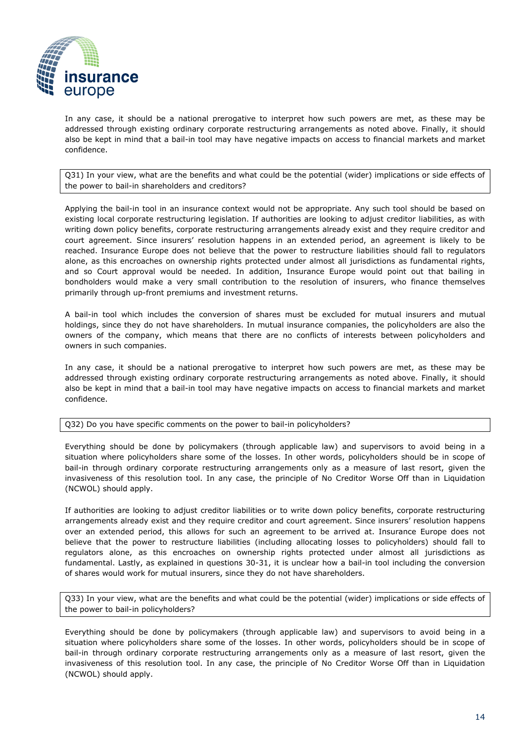

In any case, it should be a national prerogative to interpret how such powers are met, as these may be addressed through existing ordinary corporate restructuring arrangements as noted above. Finally, it should also be kept in mind that a bail-in tool may have negative impacts on access to financial markets and market confidence.

Q31) In your view, what are the benefits and what could be the potential (wider) implications or side effects of the power to bail-in shareholders and creditors?

Applying the bail-in tool in an insurance context would not be appropriate. Any such tool should be based on existing local corporate restructuring legislation. If authorities are looking to adjust creditor liabilities, as with writing down policy benefits, corporate restructuring arrangements already exist and they require creditor and court agreement. Since insurers' resolution happens in an extended period, an agreement is likely to be reached. Insurance Europe does not believe that the power to restructure liabilities should fall to regulators alone, as this encroaches on ownership rights protected under almost all jurisdictions as fundamental rights, and so Court approval would be needed. In addition, Insurance Europe would point out that bailing in bondholders would make a very small contribution to the resolution of insurers, who finance themselves primarily through up-front premiums and investment returns.

A bail-in tool which includes the conversion of shares must be excluded for mutual insurers and mutual holdings, since they do not have shareholders. In mutual insurance companies, the policyholders are also the owners of the company, which means that there are no conflicts of interests between policyholders and owners in such companies.

In any case, it should be a national prerogative to interpret how such powers are met, as these may be addressed through existing ordinary corporate restructuring arrangements as noted above. Finally, it should also be kept in mind that a bail-in tool may have negative impacts on access to financial markets and market confidence.

Q32) Do you have specific comments on the power to bail-in policyholders?

Everything should be done by policymakers (through applicable law) and supervisors to avoid being in a situation where policyholders share some of the losses. In other words, policyholders should be in scope of bail-in through ordinary corporate restructuring arrangements only as a measure of last resort, given the invasiveness of this resolution tool. In any case, the principle of No Creditor Worse Off than in Liquidation (NCWOL) should apply.

If authorities are looking to adjust creditor liabilities or to write down policy benefits, corporate restructuring arrangements already exist and they require creditor and court agreement. Since insurers' resolution happens over an extended period, this allows for such an agreement to be arrived at. Insurance Europe does not believe that the power to restructure liabilities (including allocating losses to policyholders) should fall to regulators alone, as this encroaches on ownership rights protected under almost all jurisdictions as fundamental. Lastly, as explained in questions 30-31, it is unclear how a bail-in tool including the conversion of shares would work for mutual insurers, since they do not have shareholders.

Q33) In your view, what are the benefits and what could be the potential (wider) implications or side effects of the power to bail-in policyholders?

Everything should be done by policymakers (through applicable law) and supervisors to avoid being in a situation where policyholders share some of the losses. In other words, policyholders should be in scope of bail-in through ordinary corporate restructuring arrangements only as a measure of last resort, given the invasiveness of this resolution tool. In any case, the principle of No Creditor Worse Off than in Liquidation (NCWOL) should apply.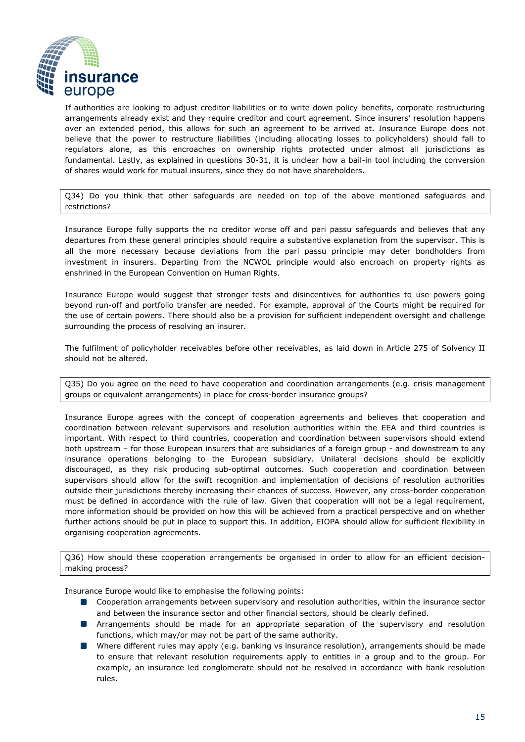

If authorities are looking to adjust creditor liabilities or to write down policy benefits, corporate restructuring arrangements already exist and they require creditor and court agreement. Since insurers' resolution happens over an extended period, this allows for such an agreement to be arrived at. Insurance Europe does not believe that the power to restructure liabilities (including allocating losses to policyholders) should fall to regulators alone, as this encroaches on ownership rights protected under almost all jurisdictions as fundamental. Lastly, as explained in questions 30-31, it is unclear how a bail-in tool including the conversion of shares would work for mutual insurers, since they do not have shareholders.

Q34) Do you think that other safeguards are needed on top of the above mentioned safeguards and restrictions?

Insurance Europe fully supports the no creditor worse off and pari passu safeguards and believes that any departures from these general principles should require a substantive explanation from the supervisor. This is all the more necessary because deviations from the pari passu principle may deter bondholders from investment in insurers. Departing from the NCWOL principle would also encroach on property rights as enshrined in the European Convention on Human Rights.

Insurance Europe would suggest that stronger tests and disincentives for authorities to use powers going beyond run-off and portfolio transfer are needed. For example, approval of the Courts might be required for the use of certain powers. There should also be a provision for sufficient independent oversight and challenge surrounding the process of resolving an insurer.

The fulfilment of policyholder receivables before other receivables, as laid down in Article 275 of Solvency II should not be altered.

Q35) Do you agree on the need to have cooperation and coordination arrangements (e.g. crisis management groups or equivalent arrangements) in place for cross-border insurance groups?

Insurance Europe agrees with the concept of cooperation agreements and believes that cooperation and coordination between relevant supervisors and resolution authorities within the EEA and third countries is important. With respect to third countries, cooperation and coordination between supervisors should extend both upstream – for those European insurers that are subsidiaries of a foreign group - and downstream to any insurance operations belonging to the European subsidiary. Unilateral decisions should be explicitly discouraged, as they risk producing sub-optimal outcomes. Such cooperation and coordination between supervisors should allow for the swift recognition and implementation of decisions of resolution authorities outside their jurisdictions thereby increasing their chances of success. However, any cross-border cooperation must be defined in accordance with the rule of law. Given that cooperation will not be a legal requirement, more information should be provided on how this will be achieved from a practical perspective and on whether further actions should be put in place to support this. In addition, EIOPA should allow for sufficient flexibility in organising cooperation agreements.

Q36) How should these cooperation arrangements be organised in order to allow for an efficient decisionmaking process?

Insurance Europe would like to emphasise the following points:

- **Cooperation arrangements between supervisory and resolution authorities, within the insurance sector** and between the insurance sector and other financial sectors, should be clearly defined.
- **Arrangements should be made for an appropriate separation of the supervisory and resolution** functions, which may/or may not be part of the same authority.
- Where different rules may apply (e.g. banking vs insurance resolution), arrangements should be made to ensure that relevant resolution requirements apply to entities in a group and to the group. For example, an insurance led conglomerate should not be resolved in accordance with bank resolution rules.